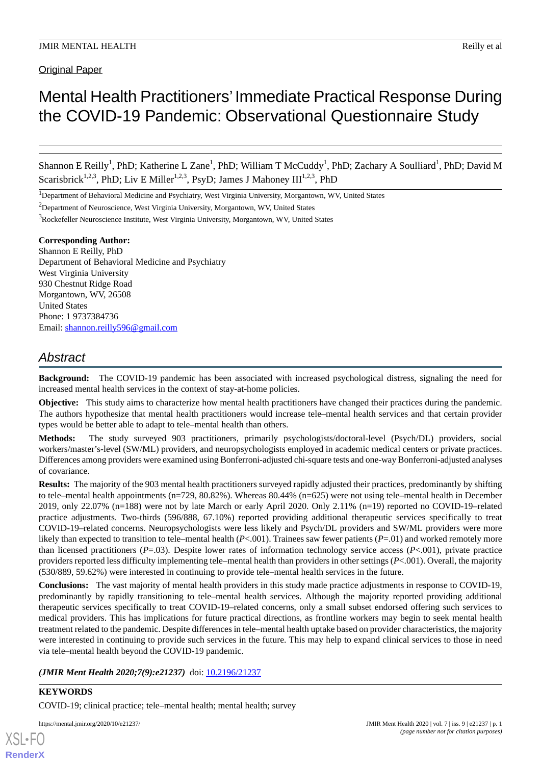Original Paper

# Mental Health Practitioners'Immediate Practical Response During the COVID-19 Pandemic: Observational Questionnaire Study

Shannon E Reilly<sup>1</sup>, PhD; Katherine L Zane<sup>1</sup>, PhD; William T McCuddy<sup>1</sup>, PhD; Zachary A Soulliard<sup>1</sup>, PhD; David M Scarisbrick<sup>1,2,3</sup>, PhD; Liv E Miller<sup>1,2,3</sup>, PsyD; James J Mahoney III<sup>1,2,3</sup>, PhD

<sup>1</sup>Department of Behavioral Medicine and Psychiatry, West Virginia University, Morgantown, WV, United States

<sup>2</sup>Department of Neuroscience, West Virginia University, Morgantown, WV, United States

<sup>3</sup>Rockefeller Neuroscience Institute, West Virginia University, Morgantown, WV, United States

# **Corresponding Author:**

Shannon E Reilly, PhD Department of Behavioral Medicine and Psychiatry West Virginia University 930 Chestnut Ridge Road Morgantown, WV, 26508 United States Phone: 1 9737384736 Email: [shannon.reilly596@gmail.com](mailto:shannon.reilly596@gmail.com)

# *Abstract*

**Background:** The COVID-19 pandemic has been associated with increased psychological distress, signaling the need for increased mental health services in the context of stay-at-home policies.

**Objective:** This study aims to characterize how mental health practitioners have changed their practices during the pandemic. The authors hypothesize that mental health practitioners would increase tele–mental health services and that certain provider types would be better able to adapt to tele–mental health than others.

**Methods:** The study surveyed 903 practitioners, primarily psychologists/doctoral-level (Psych/DL) providers, social workers/master's-level (SW/ML) providers, and neuropsychologists employed in academic medical centers or private practices. Differences among providers were examined using Bonferroni-adjusted chi-square tests and one-way Bonferroni-adjusted analyses of covariance.

**Results:** The majority of the 903 mental health practitioners surveyed rapidly adjusted their practices, predominantly by shifting to tele–mental health appointments (n=729, 80.82%). Whereas 80.44% (n=625) were not using tele–mental health in December 2019, only 22.07% (n=188) were not by late March or early April 2020. Only 2.11% (n=19) reported no COVID-19–related practice adjustments. Two-thirds (596/888, 67.10%) reported providing additional therapeutic services specifically to treat COVID-19–related concerns. Neuropsychologists were less likely and Psych/DL providers and SW/ML providers were more likely than expected to transition to tele–mental health (*P*<.001). Trainees saw fewer patients (*P*=.01) and worked remotely more than licensed practitioners (*P*=.03). Despite lower rates of information technology service access (*P*<.001), private practice providers reported less difficulty implementing tele–mental health than providers in other settings (*P*<.001). Overall, the majority (530/889, 59.62%) were interested in continuing to provide tele–mental health services in the future.

**Conclusions:** The vast majority of mental health providers in this study made practice adjustments in response to COVID-19, predominantly by rapidly transitioning to tele–mental health services. Although the majority reported providing additional therapeutic services specifically to treat COVID-19–related concerns, only a small subset endorsed offering such services to medical providers. This has implications for future practical directions, as frontline workers may begin to seek mental health treatment related to the pandemic. Despite differences in tele–mental health uptake based on provider characteristics, the majority were interested in continuing to provide such services in the future. This may help to expand clinical services to those in need via tele–mental health beyond the COVID-19 pandemic.

*(JMIR Ment Health 2020;7(9):e21237)* doi: [10.2196/21237](http://dx.doi.org/10.2196/21237)

# **KEYWORDS**

COVID-19; clinical practice; tele–mental health; mental health; survey

[XSL](http://www.w3.org/Style/XSL)•FO **[RenderX](http://www.renderx.com/)**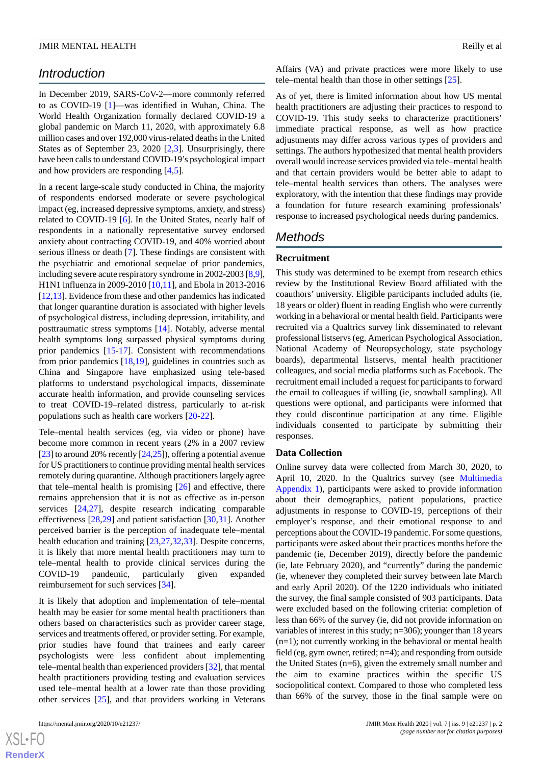# *Introduction*

In December 2019, SARS-CoV-2—more commonly referred to as COVID-19 [[1\]](#page-15-0)—was identified in Wuhan, China. The World Health Organization formally declared COVID-19 a global pandemic on March 11, 2020, with approximately 6.8 million cases and over 192,000 virus-related deaths in the United States as of September 23, 2020 [\[2](#page-15-1),[3](#page-15-2)]. Unsurprisingly, there have been calls to understand COVID-19's psychological impact and how providers are responding [\[4](#page-15-3),[5](#page-15-4)].

In a recent large-scale study conducted in China, the majority of respondents endorsed moderate or severe psychological impact (eg, increased depressive symptoms, anxiety, and stress) related to COVID-19 [\[6](#page-15-5)]. In the United States, nearly half of respondents in a nationally representative survey endorsed anxiety about contracting COVID-19, and 40% worried about serious illness or death [[7\]](#page-15-6). These findings are consistent with the psychiatric and emotional sequelae of prior pandemics, including severe acute respiratory syndrome in 2002-2003 [[8](#page-15-7)[,9\]](#page-15-8), H1N1 influenza in 2009-2010 [\[10](#page-15-9)[,11](#page-15-10)], and Ebola in 2013-2016 [[12,](#page-15-11)[13](#page-15-12)]. Evidence from these and other pandemics has indicated that longer quarantine duration is associated with higher levels of psychological distress, including depression, irritability, and posttraumatic stress symptoms [[14\]](#page-16-0). Notably, adverse mental health symptoms long surpassed physical symptoms during prior pandemics [\[15](#page-16-1)-[17\]](#page-16-2). Consistent with recommendations from prior pandemics [\[18](#page-16-3),[19\]](#page-16-4), guidelines in countries such as China and Singapore have emphasized using tele-based platforms to understand psychological impacts, disseminate accurate health information, and provide counseling services to treat COVID-19–related distress, particularly to at-risk populations such as health care workers [\[20](#page-16-5)-[22\]](#page-16-6).

Tele–mental health services (eg, via video or phone) have become more common in recent years (2% in a 2007 review [[23\]](#page-16-7) to around 20% recently [\[24,](#page-16-8)[25\]](#page-16-9)), offering a potential avenue for US practitioners to continue providing mental health services remotely during quarantine. Although practitioners largely agree that tele–mental health is promising  $[26]$  $[26]$  and effective, there remains apprehension that it is not as effective as in-person services [[24,](#page-16-8)[27\]](#page-16-11), despite research indicating comparable effectiveness [\[28](#page-16-12),[29\]](#page-16-13) and patient satisfaction [[30,](#page-16-14)[31](#page-16-15)]. Another perceived barrier is the perception of inadequate tele–mental health education and training [[23,](#page-16-7)[27](#page-16-11),[32,](#page-16-16)[33](#page-16-17)]. Despite concerns, it is likely that more mental health practitioners may turn to tele–mental health to provide clinical services during the COVID-19 pandemic, particularly given expanded reimbursement for such services [[34\]](#page-16-18).

It is likely that adoption and implementation of tele–mental health may be easier for some mental health practitioners than others based on characteristics such as provider career stage, services and treatments offered, or provider setting. For example, prior studies have found that trainees and early career psychologists were less confident about implementing tele–mental health than experienced providers [[32\]](#page-16-16), that mental health practitioners providing testing and evaluation services used tele–mental health at a lower rate than those providing other services [\[25](#page-16-9)], and that providers working in Veterans

 $XS$ -FO **[RenderX](http://www.renderx.com/)** Affairs (VA) and private practices were more likely to use tele–mental health than those in other settings [[25\]](#page-16-9).

As of yet, there is limited information about how US mental health practitioners are adjusting their practices to respond to COVID-19. This study seeks to characterize practitioners' immediate practical response, as well as how practice adjustments may differ across various types of providers and settings. The authors hypothesized that mental health providers overall would increase services provided via tele–mental health and that certain providers would be better able to adapt to tele–mental health services than others. The analyses were exploratory, with the intention that these findings may provide a foundation for future research examining professionals' response to increased psychological needs during pandemics.

# *Methods*

# **Recruitment**

This study was determined to be exempt from research ethics review by the Institutional Review Board affiliated with the coauthors' university. Eligible participants included adults (ie, 18 years or older) fluent in reading English who were currently working in a behavioral or mental health field. Participants were recruited via a Qualtrics survey link disseminated to relevant professional listservs (eg, American Psychological Association, National Academy of Neuropsychology, state psychology boards), departmental listservs, mental health practitioner colleagues, and social media platforms such as Facebook. The recruitment email included a request for participants to forward the email to colleagues if willing (ie, snowball sampling). All questions were optional, and participants were informed that they could discontinue participation at any time. Eligible individuals consented to participate by submitting their responses.

# **Data Collection**

Online survey data were collected from March 30, 2020, to April 10, 2020. In the Qualtrics survey (see [Multimedia](#page-15-13) [Appendix 1\)](#page-15-13), participants were asked to provide information about their demographics, patient populations, practice adjustments in response to COVID-19, perceptions of their employer's response, and their emotional response to and perceptions about the COVID-19 pandemic. For some questions, participants were asked about their practices months before the pandemic (ie, December 2019), directly before the pandemic (ie, late February 2020), and "currently" during the pandemic (ie, whenever they completed their survey between late March and early April 2020). Of the 1220 individuals who initiated the survey, the final sample consisted of 903 participants. Data were excluded based on the following criteria: completion of less than 66% of the survey (ie, did not provide information on variables of interest in this study; n=306); younger than 18 years (n=1); not currently working in the behavioral or mental health field (eg, gym owner, retired; n=4); and responding from outside the United States (n=6), given the extremely small number and the aim to examine practices within the specific US sociopolitical context. Compared to those who completed less than 66% of the survey, those in the final sample were on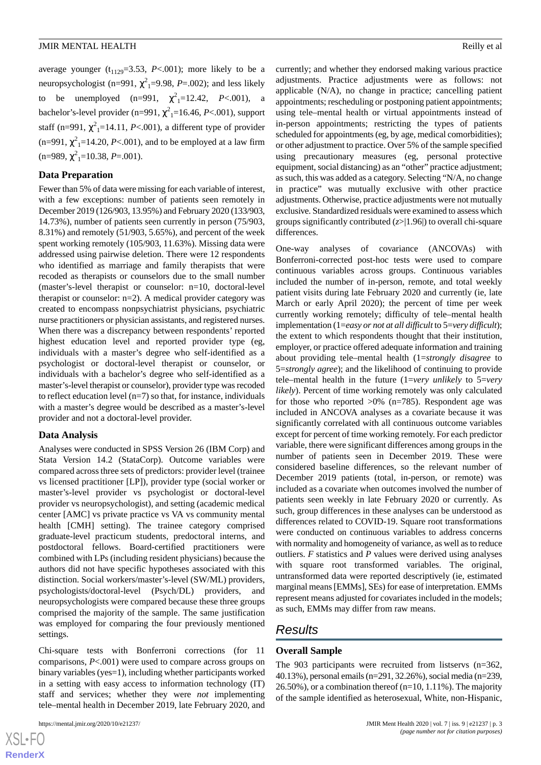average younger  $(t_{1129}=3.53, P<.001)$ ; more likely to be a neuropsychologist (n=991,  $\chi^2$ <sub>1</sub>=9.98, *P*=.002); and less likely to be unemployed  $(n=991, \gamma^2_1=12.42, P<.001)$ , a bachelor's-level provider (n=991,  $\chi^2$ <sub>1</sub>=16.46, *P*<.001), support staff (n=991,  $\chi^2$ <sub>1</sub>=14.11, *P*<.001), a different type of provider  $(n=991, \chi^2_{1}=14.20, P<.001)$ , and to be employed at a law firm  $(n=989, \chi^2_{1}=10.38, P=.001).$ 

# **Data Preparation**

Fewer than 5% of data were missing for each variable of interest, with a few exceptions: number of patients seen remotely in December 2019 (126/903, 13.95%) and February 2020 (133/903, 14.73%), number of patients seen currently in person (75/903, 8.31%) and remotely (51/903, 5.65%), and percent of the week spent working remotely (105/903, 11.63%). Missing data were addressed using pairwise deletion. There were 12 respondents who identified as marriage and family therapists that were recoded as therapists or counselors due to the small number (master's-level therapist or counselor: n=10, doctoral-level therapist or counselor: n=2). A medical provider category was created to encompass nonpsychiatrist physicians, psychiatric nurse practitioners or physician assistants, and registered nurses. When there was a discrepancy between respondents' reported highest education level and reported provider type (eg, individuals with a master's degree who self-identified as a psychologist or doctoral-level therapist or counselor, or individuals with a bachelor's degree who self-identified as a master's-level therapist or counselor), provider type was recoded to reflect education level  $(n=7)$  so that, for instance, individuals with a master's degree would be described as a master's-level provider and not a doctoral-level provider.

# **Data Analysis**

Analyses were conducted in SPSS Version 26 (IBM Corp) and Stata Version 14.2 (StataCorp). Outcome variables were compared across three sets of predictors: provider level (trainee vs licensed practitioner [LP]), provider type (social worker or master's-level provider vs psychologist or doctoral-level provider vs neuropsychologist), and setting (academic medical center [AMC] vs private practice vs VA vs community mental health [CMH] setting). The trainee category comprised graduate-level practicum students, predoctoral interns, and postdoctoral fellows. Board-certified practitioners were combined with LPs (including resident physicians) because the authors did not have specific hypotheses associated with this distinction. Social workers/master's-level (SW/ML) providers, psychologists/doctoral-level (Psych/DL) providers, and neuropsychologists were compared because these three groups comprised the majority of the sample. The same justification was employed for comparing the four previously mentioned settings.

Chi-square tests with Bonferroni corrections (for 11 comparisons, *P*<.001) were used to compare across groups on binary variables (yes=1), including whether participants worked in a setting with easy access to information technology (IT) staff and services; whether they were *not* implementing tele–mental health in December 2019, late February 2020, and

currently; and whether they endorsed making various practice adjustments. Practice adjustments were as follows: not applicable (N/A), no change in practice; cancelling patient appointments; rescheduling or postponing patient appointments; using tele–mental health or virtual appointments instead of in-person appointments; restricting the types of patients scheduled for appointments (eg, by age, medical comorbidities); or other adjustment to practice. Over 5% of the sample specified using precautionary measures (eg, personal protective equipment, social distancing) as an "other" practice adjustment; as such, this was added as a category. Selecting "N/A, no change in practice" was mutually exclusive with other practice adjustments. Otherwise, practice adjustments were not mutually exclusive. Standardized residuals were examined to assess which groups significantly contributed (*z*>|1.96|) to overall chi-square differences.

One-way analyses of covariance (ANCOVAs) with Bonferroni-corrected post-hoc tests were used to compare continuous variables across groups. Continuous variables included the number of in-person, remote, and total weekly patient visits during late February 2020 and currently (ie, late March or early April 2020); the percent of time per week currently working remotely; difficulty of tele–mental health implementation (1=*easy or not at all difficult*to 5=*very difficult*); the extent to which respondents thought that their institution, employer, or practice offered adequate information and training about providing tele–mental health (1=*strongly disagree* to 5=*strongly agree*); and the likelihood of continuing to provide tele–mental health in the future (1=*very unlikely* to 5=*very likely*). Percent of time working remotely was only calculated for those who reported  $>0\%$  (n=785). Respondent age was included in ANCOVA analyses as a covariate because it was significantly correlated with all continuous outcome variables except for percent of time working remotely. For each predictor variable, there were significant differences among groups in the number of patients seen in December 2019. These were considered baseline differences, so the relevant number of December 2019 patients (total, in-person, or remote) was included as a covariate when outcomes involved the number of patients seen weekly in late February 2020 or currently. As such, group differences in these analyses can be understood as differences related to COVID-19. Square root transformations were conducted on continuous variables to address concerns with normality and homogeneity of variance, as well as to reduce outliers. *F* statistics and *P* values were derived using analyses with square root transformed variables. The original, untransformed data were reported descriptively (ie, estimated marginal means [EMMs], SEs) for ease of interpretation. EMMs represent means adjusted for covariates included in the models; as such, EMMs may differ from raw means.

# *Results*

# **Overall Sample**

The 903 participants were recruited from listservs (n=362, 40.13%), personal emails (n=291, 32.26%), social media (n=239, 26.50%), or a combination thereof (n=10, 1.11%). The majority of the sample identified as heterosexual, White, non-Hispanic,

 $XS$ -FO **[RenderX](http://www.renderx.com/)**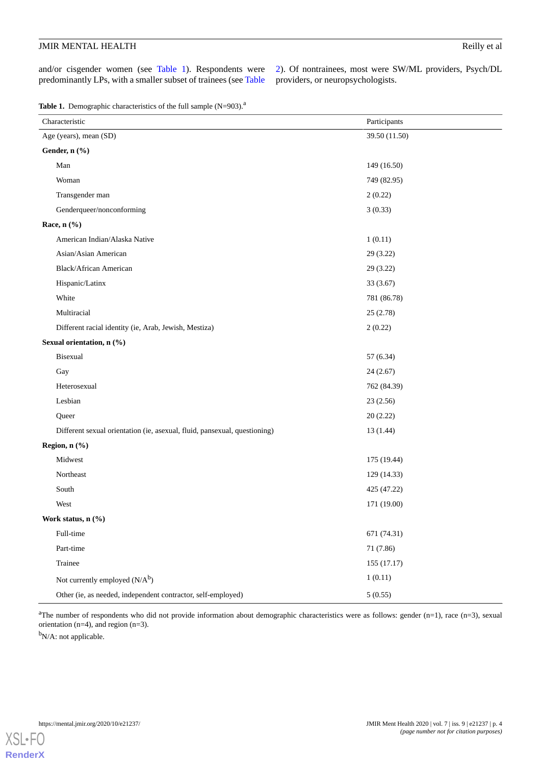and/or cisgender women (see [Table 1\)](#page-3-0). Respondents were predominantly LPs, with a smaller subset of trainees (see [Table](#page-4-0) [2\)](#page-4-0). Of nontrainees, most were SW/ML providers, Psych/DL providers, or neuropsychologists.

<span id="page-3-0"></span>Table 1. Demographic characteristics of the full sample (N=903).<sup>a</sup>

| Characteristic                                                            | Participants  |
|---------------------------------------------------------------------------|---------------|
| Age (years), mean (SD)                                                    | 39.50 (11.50) |
| Gender, n (%)                                                             |               |
| Man                                                                       | 149 (16.50)   |
| Woman                                                                     | 749 (82.95)   |
| Transgender man                                                           | 2(0.22)       |
| Genderqueer/nonconforming                                                 | 3(0.33)       |
| Race, n (%)                                                               |               |
| American Indian/Alaska Native                                             | 1(0.11)       |
| Asian/Asian American                                                      | 29 (3.22)     |
| Black/African American                                                    | 29 (3.22)     |
| Hispanic/Latinx                                                           | 33 (3.67)     |
| White                                                                     | 781 (86.78)   |
| Multiracial                                                               | 25(2.78)      |
| Different racial identity (ie, Arab, Jewish, Mestiza)                     | 2(0.22)       |
| Sexual orientation, n (%)                                                 |               |
| Bisexual                                                                  | 57 (6.34)     |
| Gay                                                                       | 24(2.67)      |
| Heterosexual                                                              | 762 (84.39)   |
| Lesbian                                                                   | 23(2.56)      |
| Queer                                                                     | 20(2.22)      |
| Different sexual orientation (ie, asexual, fluid, pansexual, questioning) | 13 (1.44)     |
| Region, n (%)                                                             |               |
| Midwest                                                                   | 175 (19.44)   |
| Northeast                                                                 | 129 (14.33)   |
| South                                                                     | 425 (47.22)   |
| West                                                                      | 171 (19.00)   |
| Work status, $n$ $(\%)$                                                   |               |
| Full-time                                                                 | 671 (74.31)   |
| Part-time                                                                 | 71 (7.86)     |
| Trainee                                                                   | 155(17.17)    |
| Not currently employed $(N/A^b)$                                          | 1(0.11)       |
| Other (ie, as needed, independent contractor, self-employed)              | 5(0.55)       |

<sup>a</sup>The number of respondents who did not provide information about demographic characteristics were as follows: gender  $(n=1)$ , race  $(n=3)$ , sexual orientation (n=4), and region (n=3).

<sup>b</sup>N/A: not applicable.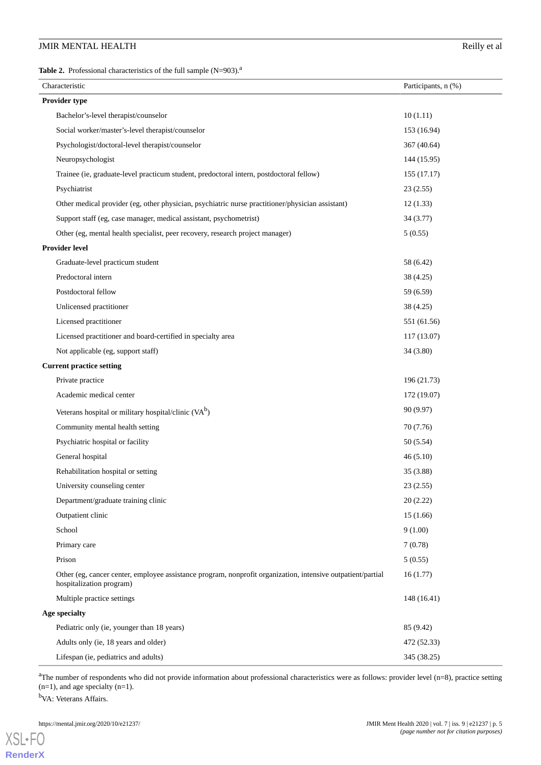<span id="page-4-0"></span>**Table 2.** Professional characteristics of the full sample (N=903).<sup>a</sup>

| Characteristic                                                                                                                          | Participants, n (%) |
|-----------------------------------------------------------------------------------------------------------------------------------------|---------------------|
| Provider type                                                                                                                           |                     |
| Bachelor's-level therapist/counselor                                                                                                    | 10(1.11)            |
| Social worker/master's-level therapist/counselor                                                                                        | 153 (16.94)         |
| Psychologist/doctoral-level therapist/counselor                                                                                         | 367 (40.64)         |
| Neuropsychologist                                                                                                                       | 144 (15.95)         |
| Trainee (ie, graduate-level practicum student, predoctoral intern, postdoctoral fellow)                                                 | 155 (17.17)         |
| Psychiatrist                                                                                                                            | 23(2.55)            |
| Other medical provider (eg, other physician, psychiatric nurse practitioner/physician assistant)                                        | 12(1.33)            |
| Support staff (eg, case manager, medical assistant, psychometrist)                                                                      | 34 (3.77)           |
| Other (eg, mental health specialist, peer recovery, research project manager)                                                           | 5(0.55)             |
| <b>Provider level</b>                                                                                                                   |                     |
| Graduate-level practicum student                                                                                                        | 58 (6.42)           |
| Predoctoral intern                                                                                                                      | 38 (4.25)           |
| Postdoctoral fellow                                                                                                                     | 59 (6.59)           |
| Unlicensed practitioner                                                                                                                 | 38 (4.25)           |
| Licensed practitioner                                                                                                                   | 551 (61.56)         |
| Licensed practitioner and board-certified in specialty area                                                                             | 117 (13.07)         |
| Not applicable (eg, support staff)                                                                                                      | 34 (3.80)           |
| <b>Current practice setting</b>                                                                                                         |                     |
| Private practice                                                                                                                        | 196 (21.73)         |
| Academic medical center                                                                                                                 | 172 (19.07)         |
| Veterans hospital or military hospital/clinic (VA <sup>b</sup> )                                                                        | 90 (9.97)           |
| Community mental health setting                                                                                                         | 70 (7.76)           |
| Psychiatric hospital or facility                                                                                                        | 50 (5.54)           |
| General hospital                                                                                                                        | 46(5.10)            |
| Rehabilitation hospital or setting                                                                                                      | 35 (3.88)           |
| University counseling center                                                                                                            | 23 (2.55)           |
| Department/graduate training clinic                                                                                                     | 20(2.22)            |
| Outpatient clinic                                                                                                                       | 15(1.66)            |
| School                                                                                                                                  | 9(1.00)             |
| Primary care                                                                                                                            | 7(0.78)             |
| Prison                                                                                                                                  | 5(0.55)             |
| Other (eg, cancer center, employee assistance program, nonprofit organization, intensive outpatient/partial<br>hospitalization program) | 16(1.77)            |
| Multiple practice settings                                                                                                              | 148 (16.41)         |
| Age specialty                                                                                                                           |                     |
| Pediatric only (ie, younger than 18 years)                                                                                              | 85 (9.42)           |
| Adults only (ie, 18 years and older)                                                                                                    | 472 (52.33)         |
| Lifespan (ie, pediatrics and adults)                                                                                                    | 345 (38.25)         |

<sup>a</sup>The number of respondents who did not provide information about professional characteristics were as follows: provider level  $(n=8)$ , practice setting  $(n=1)$ , and age specialty  $(n=1)$ .

<sup>b</sup>VA: Veterans Affairs.

[XSL](http://www.w3.org/Style/XSL)•FO **[RenderX](http://www.renderx.com/)**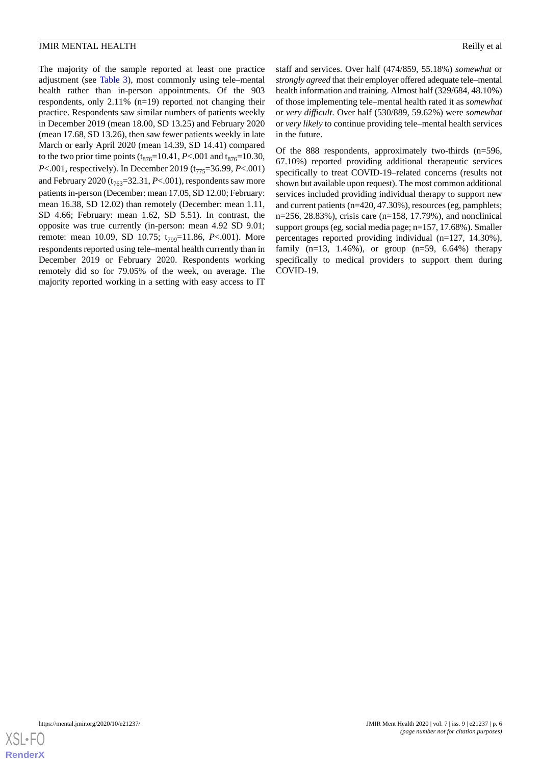## **JMIR MENTAL HEALTH** Research 2008 and 2008 and 2008 and 2008 and 2008 and 2008 and 2008 and 2008 and 2008 and 2008 and 2008 and 2008 and 2008 and 2008 and 2008 and 2008 and 2008 and 2008 and 2008 and 2008 and 2008 and 200

The majority of the sample reported at least one practice adjustment (see [Table 3](#page-6-0)), most commonly using tele–mental health rather than in-person appointments. Of the 903 respondents, only 2.11% (n=19) reported not changing their practice. Respondents saw similar numbers of patients weekly in December 2019 (mean 18.00, SD 13.25) and February 2020 (mean 17.68, SD 13.26), then saw fewer patients weekly in late March or early April 2020 (mean 14.39, SD 14.41) compared to the two prior time points  $(t_{876}=10.41, P<.001$  and  $t_{876}=10.30,$ *P*<.001, respectively). In December 2019 (t<sub>775</sub>=36.99, *P*<.001) and February 2020 ( $t_{763}$ =32.31, *P*<.001), respondents saw more patients in-person (December: mean 17.05, SD 12.00; February: mean 16.38, SD 12.02) than remotely (December: mean 1.11, SD 4.66; February: mean 1.62, SD 5.51). In contrast, the opposite was true currently (in-person: mean 4.92 SD 9.01; remote: mean 10.09, SD 10.75; t<sub>799</sub>=11.86, *P*<.001). More respondents reported using tele–mental health currently than in December 2019 or February 2020. Respondents working remotely did so for 79.05% of the week, on average. The majority reported working in a setting with easy access to IT

staff and services. Over half (474/859, 55.18%) *somewhat* or *strongly agreed* that their employer offered adequate tele–mental health information and training. Almost half (329/684, 48.10%) of those implementing tele–mental health rated it as *somewhat* or *very difficult*. Over half (530/889, 59.62%) were *somewhat* or *very likely* to continue providing tele–mental health services in the future.

Of the 888 respondents, approximately two-thirds (n=596, 67.10%) reported providing additional therapeutic services specifically to treat COVID-19–related concerns (results not shown but available upon request). The most common additional services included providing individual therapy to support new and current patients (n=420, 47.30%), resources (eg, pamphlets; n=256, 28.83%), crisis care (n=158, 17.79%), and nonclinical support groups (eg, social media page; n=157, 17.68%). Smaller percentages reported providing individual (n=127, 14.30%), family  $(n=13, 1.46\%)$ , or group  $(n=59, 6.64\%)$  therapy specifically to medical providers to support them during COVID-19.

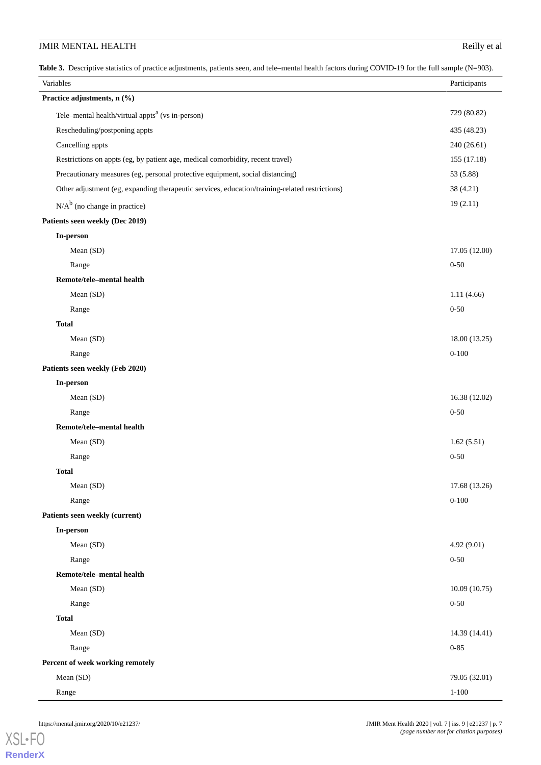<span id="page-6-0"></span>**Table 3.** Descriptive statistics of practice adjustments, patients seen, and tele–mental health factors during COVID-19 for the full sample (N=903).

| <b>Table 5.</b> Descriptive statistics of practice adjustments, patients seen, and tele-inemal neaturiations during COVID-19 for the full sample (N=905).<br>Variables | Participants  |
|------------------------------------------------------------------------------------------------------------------------------------------------------------------------|---------------|
| Practice adjustments, n (%)                                                                                                                                            |               |
| Tele-mental health/virtual appts <sup>a</sup> (vs in-person)                                                                                                           | 729 (80.82)   |
| Rescheduling/postponing appts                                                                                                                                          | 435 (48.23)   |
| Cancelling appts                                                                                                                                                       | 240 (26.61)   |
| Restrictions on appts (eg, by patient age, medical comorbidity, recent travel)                                                                                         | 155 (17.18)   |
| Precautionary measures (eg, personal protective equipment, social distancing)                                                                                          | 53 (5.88)     |
| Other adjustment (eg, expanding therapeutic services, education/training-related restrictions)                                                                         | 38 (4.21)     |
| $N/A^b$ (no change in practice)                                                                                                                                        | 19(2.11)      |
| Patients seen weekly (Dec 2019)                                                                                                                                        |               |
| In-person                                                                                                                                                              |               |
| Mean (SD)                                                                                                                                                              | 17.05 (12.00) |
| Range                                                                                                                                                                  | $0 - 50$      |
| Remote/tele-mental health                                                                                                                                              |               |
| Mean (SD)                                                                                                                                                              | 1.11(4.66)    |
| Range                                                                                                                                                                  | $0 - 50$      |
| <b>Total</b>                                                                                                                                                           |               |
| Mean (SD)                                                                                                                                                              | 18.00 (13.25) |
| Range                                                                                                                                                                  | $0 - 100$     |
| Patients seen weekly (Feb 2020)                                                                                                                                        |               |
| In-person                                                                                                                                                              |               |
| Mean (SD)                                                                                                                                                              | 16.38 (12.02) |
| Range                                                                                                                                                                  | $0 - 50$      |
| Remote/tele-mental health                                                                                                                                              |               |
| Mean (SD)                                                                                                                                                              | 1.62(5.51)    |
| Range                                                                                                                                                                  | $0 - 50$      |
| <b>Total</b>                                                                                                                                                           |               |
| Mean (SD)                                                                                                                                                              | 17.68 (13.26) |
| Range                                                                                                                                                                  | $0 - 100$     |
| Patients seen weekly (current)                                                                                                                                         |               |
| In-person                                                                                                                                                              |               |
| Mean (SD)                                                                                                                                                              | 4.92 (9.01)   |
| Range                                                                                                                                                                  | $0 - 50$      |
| Remote/tele-mental health                                                                                                                                              |               |
| Mean (SD)                                                                                                                                                              | 10.09(10.75)  |
| Range                                                                                                                                                                  | $0 - 50$      |
| <b>Total</b>                                                                                                                                                           |               |
| Mean (SD)                                                                                                                                                              | 14.39 (14.41) |
| Range                                                                                                                                                                  | $0 - 85$      |
| Percent of week working remotely                                                                                                                                       |               |
| Mean (SD)                                                                                                                                                              | 79.05 (32.01) |
| Range                                                                                                                                                                  | $1 - 100$     |

[XSL](http://www.w3.org/Style/XSL)•FO **[RenderX](http://www.renderx.com/)**

https://mental.jmir.org/2020/10/e21237/ JMIR Ment Health 2020 | vol. 7 | iss. 9 | e21237 | p. 7 *(page number not for citation purposes)*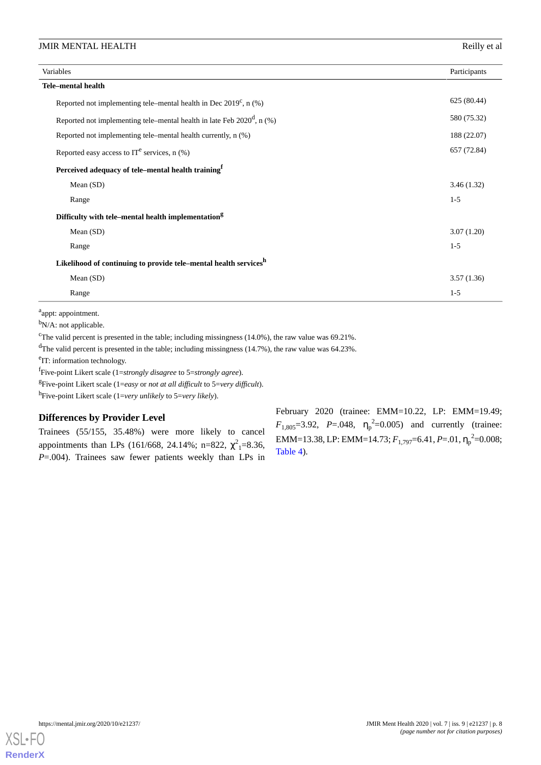| Variables                                                                 |             |
|---------------------------------------------------------------------------|-------------|
| <b>Tele-mental health</b>                                                 |             |
| Reported not implementing tele–mental health in Dec $2019^c$ , n (%)      | 625 (80.44) |
| Reported not implementing tele–mental health in late Feb $2020^d$ , n (%) | 580 (75.32) |
| Reported not implementing tele–mental health currently, n (%)             | 188 (22.07) |
| Reported easy access to $IT^e$ services, n $(\%)$                         | 657 (72.84) |
| Perceived adequacy of tele-mental health training <sup>f</sup>            |             |
| Mean $(SD)$                                                               | 3.46(1.32)  |
| Range                                                                     | $1-5$       |
| Difficulty with tele-mental health implementation <sup>g</sup>            |             |
| Mean $(SD)$                                                               | 3.07(1.20)  |
| Range                                                                     | $1-5$       |
| Likelihood of continuing to provide tele-mental health servicesh          |             |
| Mean $(SD)$                                                               | 3.57(1.36)  |
| Range                                                                     | $1-5$       |

<sup>a</sup>appt: appointment.

<sup>b</sup>N/A: not applicable.

<sup>c</sup>The valid percent is presented in the table; including missingness (14.0%), the raw value was 69.21%.

<sup>d</sup>The valid percent is presented in the table; including missingness (14.7%), the raw value was 64.23%.

<sup>e</sup>IT: information technology.

f Five-point Likert scale (1=*strongly disagree* to 5=*strongly agree*).

g Five-point Likert scale (1=*easy* or *not at all difficult* to 5=*very difficult*).

h Five-point Likert scale (1=*very unlikely* to 5=*very likely*).

# **Differences by Provider Level**

Trainees (55/155, 35.48%) were more likely to cancel appointments than LPs (161/668, 24.14%; n=822,  $\chi^2$ <sub>1</sub>=8.36, *P*=.004). Trainees saw fewer patients weekly than LPs in

February 2020 (trainee: EMM=10.22, LP: EMM=19.49;  $F_{1,805} = 3.92$ ,  $P = .048$ ,  $\eta_p^2 = 0.005$ ) and currently (trainee: EMM=13.38, LP: EMM=14.73; *F*<sub>1,797</sub>=6.41, *P*=.01, η<sub>p</sub><sup>2</sup>=0.008; [Table 4](#page-8-0)).

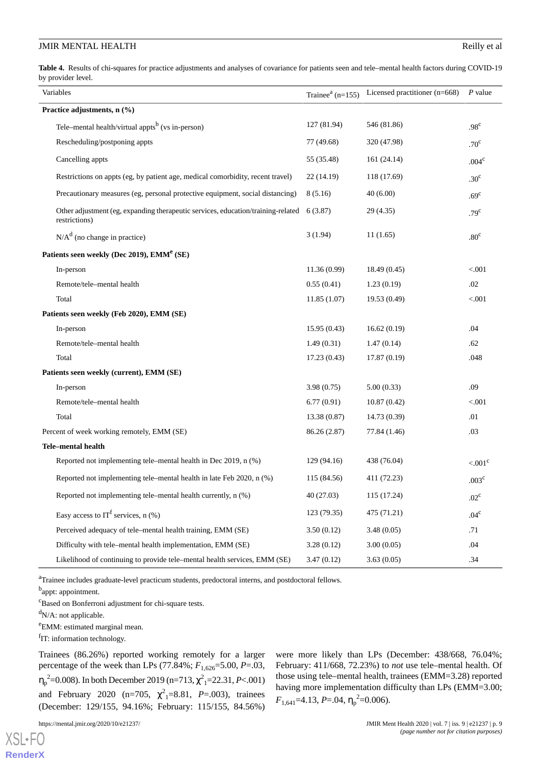<span id="page-8-0"></span>**Table 4.** Results of chi-squares for practice adjustments and analyses of covariance for patients seen and tele–mental health factors during COVID-19 by provider level.

|                                          | Variables                                                                                         | Trainee <sup><math>a</math></sup> (n=155) | Licensed practitioner (n=668) | $P$ value             |
|------------------------------------------|---------------------------------------------------------------------------------------------------|-------------------------------------------|-------------------------------|-----------------------|
| Practice adjustments, n (%)              |                                                                                                   |                                           |                               |                       |
|                                          | Tele–mental health/virtual appts <sup>b</sup> (vs in-person)                                      | 127 (81.94)                               | 546 (81.86)                   | .98 <sup>c</sup>      |
|                                          | Rescheduling/postponing appts                                                                     | 77 (49.68)                                | 320 (47.98)                   | .70 <sup>c</sup>      |
|                                          | Cancelling appts                                                                                  | 55 (35.48)                                | 161(24.14)                    | .004 <sup>c</sup>     |
|                                          | Restrictions on appts (eg, by patient age, medical comorbidity, recent travel)                    | 22(14.19)                                 | 118 (17.69)                   | .30 <sup>c</sup>      |
|                                          | Precautionary measures (eg, personal protective equipment, social distancing)                     | 8(5.16)                                   | 40(6.00)                      | .69 <sup>c</sup>      |
|                                          | Other adjustment (eg, expanding therapeutic services, education/training-related<br>restrictions) | 6(3.87)                                   | 29(4.35)                      | .79 <sup>c</sup>      |
|                                          | $N/Ad$ (no change in practice)                                                                    | 3(1.94)                                   | 11(1.65)                      | .80 <sup>c</sup>      |
|                                          | Patients seen weekly (Dec 2019), EMM <sup>e</sup> (SE)                                            |                                           |                               |                       |
|                                          | In-person                                                                                         | 11.36(0.99)                               | 18.49(0.45)                   | < .001                |
|                                          | Remote/tele-mental health                                                                         | 0.55(0.41)                                | 1.23(0.19)                    | .02                   |
|                                          | Total                                                                                             | 11.85(1.07)                               | 19.53 (0.49)                  | < 0.001               |
|                                          | Patients seen weekly (Feb 2020), EMM (SE)                                                         |                                           |                               |                       |
|                                          | In-person                                                                                         | 15.95(0.43)                               | 16.62(0.19)                   | .04                   |
|                                          | Remote/tele-mental health                                                                         | 1.49(0.31)                                | 1.47(0.14)                    | .62                   |
|                                          | Total                                                                                             | 17.23(0.43)                               | 17.87(0.19)                   | .048                  |
| Patients seen weekly (current), EMM (SE) |                                                                                                   |                                           |                               |                       |
|                                          | In-person                                                                                         | 3.98(0.75)                                | 5.00(0.33)                    | .09                   |
|                                          | Remote/tele-mental health                                                                         | 6.77(0.91)                                | 10.87(0.42)                   | < 0.001               |
|                                          | Total                                                                                             | 13.38(0.87)                               | 14.73 (0.39)                  | .01                   |
|                                          | Percent of week working remotely, EMM (SE)                                                        | 86.26 (2.87)                              | 77.84 (1.46)                  | .03                   |
|                                          | Tele-mental health                                                                                |                                           |                               |                       |
|                                          | Reported not implementing tele–mental health in Dec 2019, n (%)                                   | 129 (94.16)                               | 438 (76.04)                   | $< 0.01$ <sup>c</sup> |
|                                          | Reported not implementing tele–mental health in late Feb 2020, n (%)                              | 115 (84.56)                               | 411 (72.23)                   | .003 <sup>c</sup>     |
|                                          | Reported not implementing tele–mental health currently, n (%)                                     | 40 (27.03)                                | 115 (17.24)                   | $.02^{\circ}$         |
|                                          | Easy access to $IT^f$ services, n $(\%)$                                                          | 123 (79.35)                               | 475 (71.21)                   | .04 <sup>c</sup>      |
|                                          | Perceived adequacy of tele–mental health training, EMM (SE)                                       | 3.50(0.12)                                | 3.48(0.05)                    | .71                   |
|                                          | Difficulty with tele-mental health implementation, EMM (SE)                                       | 3.28(0.12)                                | 3.00(0.05)                    | .04                   |
|                                          | Likelihood of continuing to provide tele-mental health services, EMM (SE)                         | 3.47(0.12)                                | 3.63(0.05)                    | .34                   |

<sup>a</sup>Trainee includes graduate-level practicum students, predoctoral interns, and postdoctoral fellows.

<sup>b</sup>appt: appointment.

<sup>c</sup>Based on Bonferroni adjustment for chi-square tests.

 $dN/A$ : not applicable.

<sup>e</sup>EMM: estimated marginal mean.

fIT: information technology.

Trainees (86.26%) reported working remotely for a larger percentage of the week than LPs (77.84%; *F*1,626=5.00, *P*=.03, η<sub>p</sub><sup>2</sup>=0.008). In both December 2019 (n=713,  $\chi^2$ <sub>1</sub>=22.31, *P*<.001) and February 2020 (n=705,  $\chi^2$ <sub>1</sub>=8.81, *P*=.003), trainees (December: 129/155, 94.16%; February: 115/155, 84.56%)

https://mental.jmir.org/2020/10/e21237/ JMIR Ment Health 2020 | vol. 7 | iss. 9 | e21237 | p. 9

[XSL](http://www.w3.org/Style/XSL)•FO **[RenderX](http://www.renderx.com/)**

were more likely than LPs (December: 438/668, 76.04%; February: 411/668, 72.23%) to *not* use tele–mental health. Of those using tele–mental health, trainees (EMM=3.28) reported having more implementation difficulty than LPs (EMM=3.00;  $F_{1,641}$ =4.13, *P*=.04,  $\eta_{\rm p}^2$ =0.006).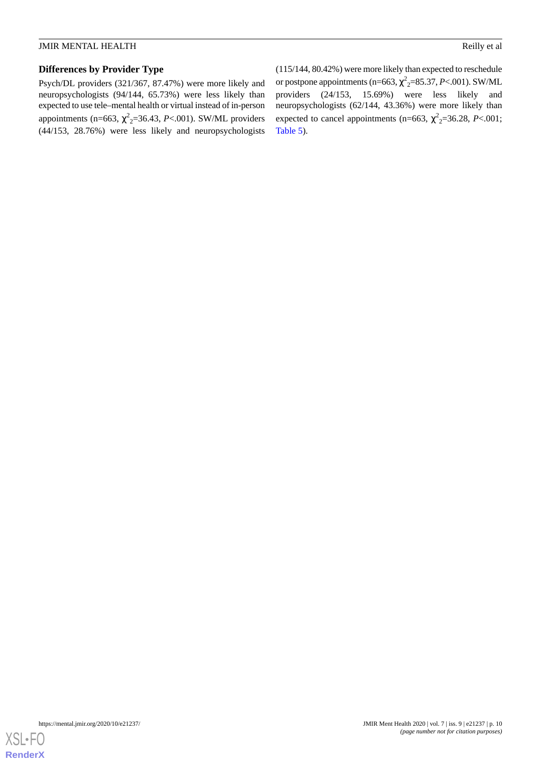# **Differences by Provider Type**

Psych/DL providers (321/367, 87.47%) were more likely and neuropsychologists (94/144, 65.73%) were less likely than expected to use tele–mental health or virtual instead of in-person appointments (n=663,  $\chi^2$ <sub>2</sub>=36.43, *P*<.001). SW/ML providers (44/153, 28.76%) were less likely and neuropsychologists (115/144, 80.42%) were more likely than expected to reschedule or postpone appointments (n=663,  $\chi^2$ <sub>2</sub>=85.37, *P*<.001). SW/ML providers (24/153, 15.69%) were less likely and neuropsychologists (62/144, 43.36%) were more likely than expected to cancel appointments (n=663,  $\chi^2$ <sub>2</sub>=36.28, *P*<.001; [Table 5](#page-10-0)).

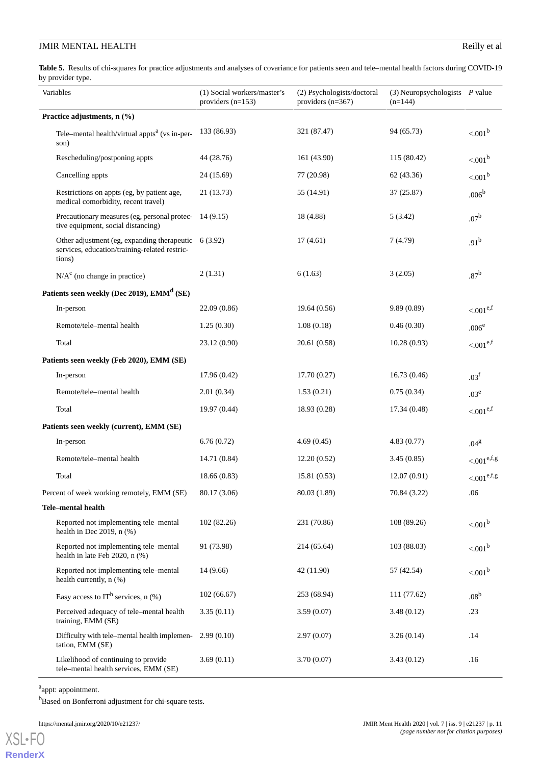<span id="page-10-0"></span>Table 5. Results of chi-squares for practice adjustments and analyses of covariance for patients seen and tele–mental health factors during COVID-19 by provider type.

| Variables                                 |                                                                                                                     | (1) Social workers/master's<br>providers $(n=153)$ | (2) Psychologists/doctoral<br>providers $(n=367)$ | $(3)$ Neuropsychologists $P$ value<br>$(n=144)$ |                         |  |
|-------------------------------------------|---------------------------------------------------------------------------------------------------------------------|----------------------------------------------------|---------------------------------------------------|-------------------------------------------------|-------------------------|--|
| Practice adjustments, n (%)               |                                                                                                                     |                                                    |                                                   |                                                 |                         |  |
|                                           | Tele-mental health/virtual appts <sup>a</sup> (vs in-per-<br>son)                                                   | 133 (86.93)                                        | 321 (87.47)                                       | 94 (65.73)                                      | < 0.01 <sup>b</sup>     |  |
|                                           | Rescheduling/postponing appts                                                                                       | 44 (28.76)                                         | 161 (43.90)                                       | 115 (80.42)                                     | < 0.01 <sup>b</sup>     |  |
|                                           | Cancelling appts                                                                                                    | 24 (15.69)                                         | 77 (20.98)                                        | 62(43.36)                                       | < 0.01 <sup>b</sup>     |  |
|                                           | Restrictions on appts (eg, by patient age,<br>medical comorbidity, recent travel)                                   | 21 (13.73)                                         | 55 (14.91)                                        | 37(25.87)                                       | .006 <sup>b</sup>       |  |
|                                           | Precautionary measures (eg, personal protec-<br>tive equipment, social distancing)                                  | 14(9.15)                                           | 18 (4.88)                                         | 5(3.42)                                         | .07 <sup>b</sup>        |  |
|                                           | Other adjustment (eg, expanding the rapeutic $6(3.92)$ )<br>services, education/training-related restric-<br>tions) |                                                    | 17(4.61)                                          | 7 (4.79)                                        | .91 <sup>b</sup>        |  |
|                                           | $N/Ac$ (no change in practice)                                                                                      | 2(1.31)                                            | 6(1.63)                                           | 3(2.05)                                         | .87 <sup>b</sup>        |  |
|                                           | Patients seen weekly (Dec 2019), EMM <sup>d</sup> (SE)                                                              |                                                    |                                                   |                                                 |                         |  |
|                                           | In-person                                                                                                           | 22.09(0.86)                                        | 19.64(0.56)                                       | 9.89(0.89)                                      | $< 0.01^{e,f}$          |  |
|                                           | Remote/tele-mental health                                                                                           | 1.25(0.30)                                         | 1.08(0.18)                                        | 0.46(0.30)                                      | .006 <sup>e</sup>       |  |
|                                           | Total                                                                                                               | 23.12 (0.90)                                       | 20.61 (0.58)                                      | 10.28(0.93)                                     | ${<}.001^{e,f}$         |  |
| Patients seen weekly (Feb 2020), EMM (SE) |                                                                                                                     |                                                    |                                                   |                                                 |                         |  |
|                                           | In-person                                                                                                           | 17.96(0.42)                                        | 17.70(0.27)                                       | 16.73(0.46)                                     | .03 <sup>f</sup>        |  |
|                                           | Remote/tele-mental health                                                                                           | 2.01(0.34)                                         | 1.53(0.21)                                        | 0.75(0.34)                                      | .03 <sup>e</sup>        |  |
|                                           | Total                                                                                                               | 19.97(0.44)                                        | 18.93 (0.28)                                      | 17.34(0.48)                                     | $< 0.01^{e,f}$          |  |
| Patients seen weekly (current), EMM (SE)  |                                                                                                                     |                                                    |                                                   |                                                 |                         |  |
|                                           | In-person                                                                                                           | 6.76(0.72)                                         | 4.69(0.45)                                        | 4.83(0.77)                                      | .04 <sup>g</sup>        |  |
|                                           | Remote/tele-mental health                                                                                           | 14.71 (0.84)                                       | 12.20(0.52)                                       | 3.45(0.85)                                      | $< 0.01^{\text{e,f,g}}$ |  |
|                                           | Total                                                                                                               | 18.66(0.83)                                        | 15.81(0.53)                                       | 12.07(0.91)                                     | ${<}001^{{\rm e,f,g}}$  |  |
|                                           | Percent of week working remotely, EMM (SE)                                                                          | 80.17 (3.06)                                       | 80.03 (1.89)                                      | 70.84 (3.22)                                    | .06                     |  |
|                                           | Tele-mental health                                                                                                  |                                                    |                                                   |                                                 |                         |  |
|                                           | Reported not implementing tele-mental<br>health in Dec 2019, $n$ (%)                                                | 102 (82.26)                                        | 231 (70.86)                                       | 108 (89.26)                                     | < 001 <sup>b</sup>      |  |
|                                           | Reported not implementing tele-mental<br>health in late Feb 2020, n (%)                                             | 91 (73.98)                                         | 214 (65.64)                                       | 103 (88.03)                                     | < 0.01 <sup>b</sup>     |  |
|                                           | Reported not implementing tele-mental<br>health currently, n (%)                                                    | 14(9.66)                                           | 42 (11.90)                                        | 57 (42.54)                                      | < 0.01 <sup>b</sup>     |  |
|                                           | Easy access to IT <sup>h</sup> services, $n$ (%)                                                                    | 102(66.67)                                         | 253 (68.94)                                       | 111 (77.62)                                     | .08 <sup>b</sup>        |  |
|                                           | Perceived adequacy of tele-mental health<br>training, EMM (SE)                                                      | 3.35(0.11)                                         | 3.59(0.07)                                        | 3.48(0.12)                                      | .23                     |  |
|                                           | Difficulty with tele-mental health implemen-<br>tation, EMM (SE)                                                    | 2.99(0.10)                                         | 2.97(0.07)                                        | 3.26(0.14)                                      | .14                     |  |
|                                           | Likelihood of continuing to provide<br>tele-mental health services, EMM (SE)                                        | 3.69(0.11)                                         | 3.70(0.07)                                        | 3.43(0.12)                                      | .16                     |  |

<sup>a</sup>appt: appointment.

b<sub>Based</sub> on Bonferroni adjustment for chi-square tests.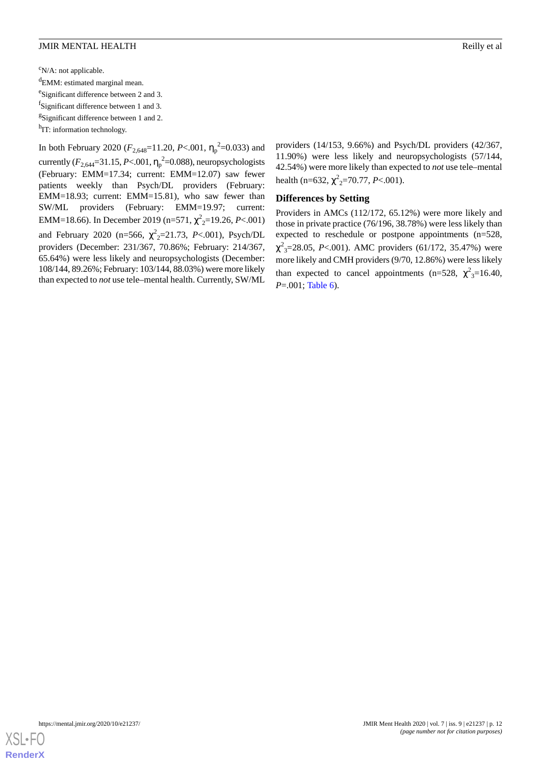### **JMIR MENTAL HEALTH** Research 2008 and 2008 and 2008 and 2008 and 2008 and 2008 and 2008 and 2008 and 2008 and 2008 and 2008 and 2008 and 2008 and 2008 and 2008 and 2008 and 2008 and 2008 and 2008 and 2008 and 2008 and 200

 $\rm ^{c}N/A$ : not applicable.

<sup>d</sup>EMM: estimated marginal mean.

<sup>e</sup>Significant difference between 2 and 3.

<sup>f</sup>Significant difference between 1 and 3.

<sup>g</sup>Significant difference between 1 and 2.

<sup>h</sup>IT: information technology.

In both February 2020 ( $F_{2,648}$ =11.20, *P*<.001,  $\eta_{p}$ <sup>2</sup>=0.033) and currently  $(F_{2,644}=31.15, P<.001, \eta_p^2=0.088)$ , neuropsychologists (February: EMM=17.34; current: EMM=12.07) saw fewer patients weekly than Psych/DL providers (February: EMM=18.93; current: EMM=15.81), who saw fewer than SW/ML providers (February: EMM=19.97; current: EMM=18.66). In December 2019 (n=571, χ 2 <sup>2</sup>=19.26, *P*<.001) and February 2020 (n=566,  $\chi^2$ <sub>2</sub>=21.73, *P*<.001), Psych/DL providers (December: 231/367, 70.86%; February: 214/367, 65.64%) were less likely and neuropsychologists (December: 108/144, 89.26%; February: 103/144, 88.03%) were more likely than expected to *not* use tele–mental health. Currently, SW/ML providers (14/153, 9.66%) and Psych/DL providers (42/367, 11.90%) were less likely and neuropsychologists (57/144, 42.54%) were more likely than expected to *not* use tele–mental health (n=632,  $\chi^2$ <sub>2</sub>=70.77, *P*<.001).

# **Differences by Setting**

Providers in AMCs (112/172, 65.12%) were more likely and those in private practice (76/196, 38.78%) were less likely than expected to reschedule or postpone appointments (n=528,  $\chi^2$ <sub>3</sub>=28.05, *P*<.001). AMC providers (61/172, 35.47%) were more likely and CMH providers (9/70, 12.86%) were less likely than expected to cancel appointments (n=528,  $\chi^2$ <sub>3</sub>=16.40, *P*=.001; [Table 6\)](#page-12-0).

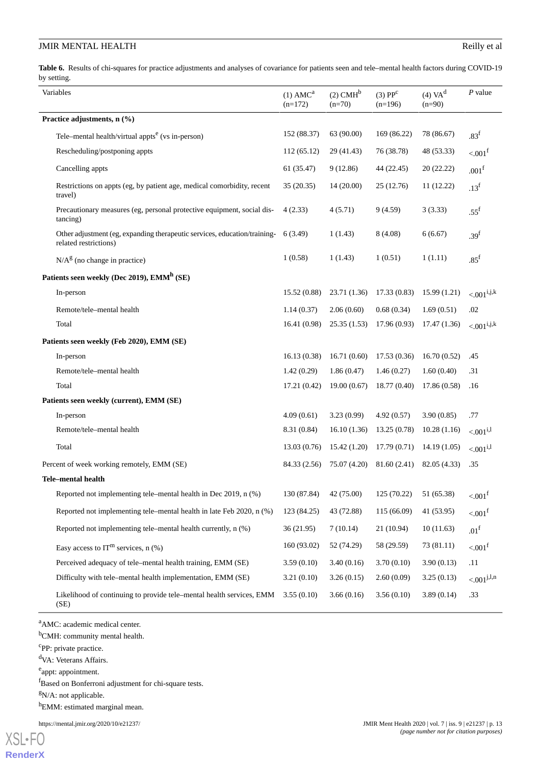<span id="page-12-0"></span>Table 6. Results of chi-squares for practice adjustments and analyses of covariance for patients seen and tele–mental health factors during COVID-19 by setting.

| Variables                                                                                                   | $(1)$ AMC <sup>a</sup><br>$(n=172)$ | $(2)$ CMH <sup>b</sup><br>$(n=70)$ | (3) PP <sup>c</sup><br>$(n=196)$ | $(4)$ VA $d$<br>$(n=90)$ | $P$ value             |
|-------------------------------------------------------------------------------------------------------------|-------------------------------------|------------------------------------|----------------------------------|--------------------------|-----------------------|
| Practice adjustments, n (%)                                                                                 |                                     |                                    |                                  |                          |                       |
| Tele–mental health/virtual appts <sup>e</sup> (vs in-person)                                                | 152 (88.37)                         | 63 (90.00)                         | 169 (86.22)                      | 78 (86.67)               | .83 <sup>f</sup>      |
| Rescheduling/postponing appts                                                                               | 112(65.12)                          | 29 (41.43)                         | 76 (38.78)                       | 48 (53.33)               | $< 001f$              |
| Cancelling appts                                                                                            | 61(35.47)                           | 9(12.86)                           | 44 (22.45)                       | 20 (22.22)               | .001 <sup>f</sup>     |
| Restrictions on appts (eg, by patient age, medical comorbidity, recent<br>travel)                           | 35(20.35)                           | 14(20.00)                          | 25 (12.76)                       | 11 (12.22)               | .13 <sup>f</sup>      |
| Precautionary measures (eg, personal protective equipment, social dis-<br>(tancing)                         | 4(2.33)                             | 4(5.71)                            | 9(4.59)                          | 3(3.33)                  | .55 <sup>f</sup>      |
| Other adjustment (eg, expanding therapeutic services, education/training- 6 (3.49)<br>related restrictions) |                                     | 1(1.43)                            | 8(4.08)                          | 6(6.67)                  | .39 <sup>f</sup>      |
| $N/Ag$ (no change in practice)                                                                              | 1(0.58)                             | 1(1.43)                            | 1(0.51)                          | 1(1.11)                  | .85 <sup>f</sup>      |
| Patients seen weekly (Dec 2019), EMM <sup>h</sup> (SE)                                                      |                                     |                                    |                                  |                          |                       |
| In-person                                                                                                   | 15.52(0.88)                         | 23.71 (1.36)                       | 17.33(0.83)                      | 15.99(1.21)              | $< 0.01^{i,j,k}$      |
| Remote/tele-mental health                                                                                   | 1.14(0.37)                          | 2.06(0.60)                         | 0.68(0.34)                       | 1.69(0.51)               | .02                   |
| Total                                                                                                       | 16.41(0.98)                         | 25.35(1.53)                        | 17.96(0.93)                      | 17.47 (1.36)             | $< 001^{i,j,k}$       |
| Patients seen weekly (Feb 2020), EMM (SE)                                                                   |                                     |                                    |                                  |                          |                       |
| In-person                                                                                                   | 16.13(0.38)                         | 16.71(0.60)                        | 17.53(0.36)                      | 16.70(0.52)              | .45                   |
| Remote/tele-mental health                                                                                   | 1.42(0.29)                          | 1.86(0.47)                         | 1.46(0.27)                       | 1.60(0.40)               | .31                   |
| Total                                                                                                       | 17.21(0.42)                         | 19.00(0.67)                        | 18.77 (0.40)                     | 17.86(0.58)              | .16                   |
| Patients seen weekly (current), EMM (SE)                                                                    |                                     |                                    |                                  |                          |                       |
| In-person                                                                                                   | 4.09(0.61)                          | 3.23(0.99)                         | 4.92(0.57)                       | 3.90(0.85)               | .77                   |
| Remote/tele-mental health                                                                                   | 8.31 (0.84)                         | 16.10(1.36)                        | 13.25(0.78)                      | 10.28(1.16)              | $< 0.001^{i,1}$       |
| Total                                                                                                       | 13.03(0.76)                         | 15.42(1.20)                        | 17.79(0.71)                      | 14.19(1.05)              | $< 0.01^{i,1}$        |
| Percent of week working remotely, EMM (SE)                                                                  | 84.33 (2.56)                        | 75.07 (4.20)                       | 81.60 (2.41)                     | 82.05 (4.33)             | .35                   |
| <b>Tele-mental health</b>                                                                                   |                                     |                                    |                                  |                          |                       |
| Reported not implementing tele–mental health in Dec 2019, n (%)                                             | 130 (87.84)                         | 42 (75.00)                         | 125 (70.22)                      | 51 (65.38)               | $< 0.01^{\rm f}$      |
| Reported not implementing tele-mental health in late Feb 2020, n (%)                                        | 123 (84.25)                         | 43 (72.88)                         | 115 (66.09)                      | 41 (53.95)               | $< 0.01$ <sup>f</sup> |
| Reported not implementing tele–mental health currently, n (%)                                               | 36 (21.95)                          | 7(10.14)                           | 21 (10.94)                       | 10(11.63)                | .01 <sup>f</sup>      |
| Easy access to $IT^m$ services, n $(\%)$                                                                    | 160 (93.02)                         | 52 (74.29)                         | 58 (29.59)                       | 73 (81.11)               | $< 001$ <sup>f</sup>  |
| Perceived adequacy of tele–mental health training, EMM (SE)                                                 | 3.59(0.10)                          | 3.40(0.16)                         | 3.70(0.10)                       | 3.90(0.13)               | .11                   |
| Difficulty with tele-mental health implementation, EMM (SE)                                                 | 3.21(0.10)                          | 3.26(0.15)                         | 2.60(0.09)                       | 3.25(0.13)               | $< 0.001^{j,l,n}$     |
| Likelihood of continuing to provide tele-mental health services, EMM<br>(SE)                                | 3.55(0.10)                          | 3.66(0.16)                         | 3.56(0.10)                       | 3.89(0.14)               | .33                   |

<sup>a</sup>AMC: academic medical center.

<sup>b</sup>CMH: community mental health.

<sup>c</sup>PP: private practice.

<sup>d</sup>VA: Veterans Affairs.

e<sup>e</sup>appt: appointment.

<sup>f</sup>Based on Bonferroni adjustment for chi-square tests.

 $gN/A$ : not applicable.

h<sub>EMM:</sub> estimated marginal mean.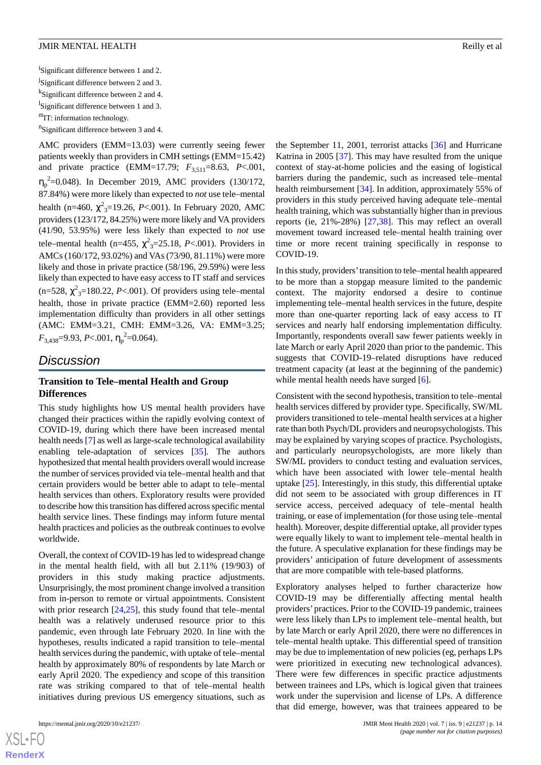<sup>i</sup>Significant difference between 1 and 2. <sup>j</sup>Significant difference between 2 and 3. <sup>k</sup>Significant difference between 2 and 4. <sup>1</sup>Significant difference between 1 and 3.  $<sup>m</sup>IT:$  information technology.</sup> <sup>n</sup>Significant difference between 3 and 4.

AMC providers (EMM=13.03) were currently seeing fewer patients weekly than providers in CMH settings (EMM=15.42) and private practice (EMM=17.79;  $F_{3,511} = 8.63$ , *P*<.001,  $\eta_p^2$ =0.048). In December 2019, AMC providers (130/172, 87.84%) were more likely than expected to *not* use tele–mental health (n=460,  $\chi^2$ <sub>3</sub>=19.26, *P*<.001). In February 2020, AMC providers (123/172, 84.25%) were more likely and VA providers (41/90, 53.95%) were less likely than expected to *not* use tele–mental health (n=455,  $\chi^2$ <sub>3</sub>=25.18, *P*<.001). Providers in AMCs (160/172, 93.02%) and VAs (73/90, 81.11%) were more likely and those in private practice (58/196, 29.59%) were less likely than expected to have easy access to IT staff and services  $(n=528, \chi^2_{3}=180.22, P<.001)$ . Of providers using tele–mental health, those in private practice (EMM=2.60) reported less implementation difficulty than providers in all other settings (AMC: EMM=3.21, CMH: EMM=3.26, VA: EMM=3.25;  $F_{3,438}$ =9.93, *P*<.001,  $\eta_p^2$ =0.064).

# *Discussion*

# **Transition to Tele–mental Health and Group Differences**

This study highlights how US mental health providers have changed their practices within the rapidly evolving context of COVID-19, during which there have been increased mental health needs [[7\]](#page-15-6) as well as large-scale technological availability enabling tele-adaptation of services [[35\]](#page-16-19). The authors hypothesized that mental health providers overall would increase the number of services provided via tele–mental health and that certain providers would be better able to adapt to tele–mental health services than others. Exploratory results were provided to describe how this transition has differed across specific mental health service lines. These findings may inform future mental health practices and policies as the outbreak continues to evolve worldwide.

Overall, the context of COVID-19 has led to widespread change in the mental health field, with all but 2.11% (19/903) of providers in this study making practice adjustments. Unsurprisingly, the most prominent change involved a transition from in-person to remote or virtual appointments. Consistent with prior research [\[24](#page-16-8),[25\]](#page-16-9), this study found that tele–mental health was a relatively underused resource prior to this pandemic, even through late February 2020. In line with the hypotheses, results indicated a rapid transition to tele–mental health services during the pandemic, with uptake of tele–mental health by approximately 80% of respondents by late March or early April 2020. The expediency and scope of this transition rate was striking compared to that of tele–mental health initiatives during previous US emergency situations, such as

the September 11, 2001, terrorist attacks [[36\]](#page-16-20) and Hurricane Katrina in 2005 [\[37](#page-16-21)]. This may have resulted from the unique context of stay-at-home policies and the easing of logistical barriers during the pandemic, such as increased tele–mental health reimbursement [\[34](#page-16-18)]. In addition, approximately 55% of providers in this study perceived having adequate tele–mental health training, which was substantially higher than in previous reports (ie, 21%-28%) [[27,](#page-16-11)[38](#page-17-0)]. This may reflect an overall movement toward increased tele–mental health training over time or more recent training specifically in response to COVID-19.

In this study, providers'transition to tele–mental health appeared to be more than a stopgap measure limited to the pandemic context. The majority endorsed a desire to continue implementing tele–mental health services in the future, despite more than one-quarter reporting lack of easy access to IT services and nearly half endorsing implementation difficulty. Importantly, respondents overall saw fewer patients weekly in late March or early April 2020 than prior to the pandemic. This suggests that COVID-19–related disruptions have reduced treatment capacity (at least at the beginning of the pandemic) while mental health needs have surged [[6\]](#page-15-5).

Consistent with the second hypothesis, transition to tele–mental health services differed by provider type. Specifically, SW/ML providers transitioned to tele–mental health services at a higher rate than both Psych/DL providers and neuropsychologists. This may be explained by varying scopes of practice. Psychologists, and particularly neuropsychologists, are more likely than SW/ML providers to conduct testing and evaluation services, which have been associated with lower tele–mental health uptake [\[25](#page-16-9)]. Interestingly, in this study, this differential uptake did not seem to be associated with group differences in IT service access, perceived adequacy of tele–mental health training, or ease of implementation (for those using tele–mental health). Moreover, despite differential uptake, all provider types were equally likely to want to implement tele–mental health in the future. A speculative explanation for these findings may be providers' anticipation of future development of assessments that are more compatible with tele-based platforms.

Exploratory analyses helped to further characterize how COVID-19 may be differentially affecting mental health providers'practices. Prior to the COVID-19 pandemic, trainees were less likely than LPs to implement tele–mental health, but by late March or early April 2020, there were no differences in tele–mental health uptake. This differential speed of transition may be due to implementation of new policies (eg, perhaps LPs were prioritized in executing new technological advances). There were few differences in specific practice adjustments between trainees and LPs, which is logical given that trainees work under the supervision and license of LPs. A difference that did emerge, however, was that trainees appeared to be

 $XS$  • FC **[RenderX](http://www.renderx.com/)**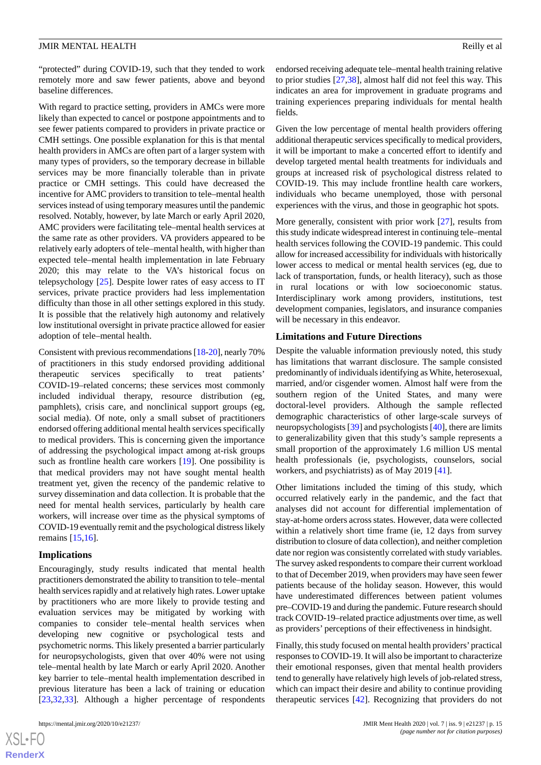"protected" during COVID-19, such that they tended to work remotely more and saw fewer patients, above and beyond baseline differences.

With regard to practice setting, providers in AMCs were more likely than expected to cancel or postpone appointments and to see fewer patients compared to providers in private practice or CMH settings. One possible explanation for this is that mental health providers in AMCs are often part of a larger system with many types of providers, so the temporary decrease in billable services may be more financially tolerable than in private practice or CMH settings. This could have decreased the incentive for AMC providers to transition to tele–mental health services instead of using temporary measures until the pandemic resolved. Notably, however, by late March or early April 2020, AMC providers were facilitating tele–mental health services at the same rate as other providers. VA providers appeared to be relatively early adopters of tele–mental health, with higher than expected tele–mental health implementation in late February 2020; this may relate to the VA's historical focus on telepsychology [[25\]](#page-16-9). Despite lower rates of easy access to IT services, private practice providers had less implementation difficulty than those in all other settings explored in this study. It is possible that the relatively high autonomy and relatively low institutional oversight in private practice allowed for easier adoption of tele–mental health.

Consistent with previous recommendations [\[18](#page-16-3)-[20](#page-16-5)], nearly 70% of practitioners in this study endorsed providing additional therapeutic services specifically to treat patients' COVID-19–related concerns; these services most commonly included individual therapy, resource distribution (eg, pamphlets), crisis care, and nonclinical support groups (eg, social media). Of note, only a small subset of practitioners endorsed offering additional mental health services specifically to medical providers. This is concerning given the importance of addressing the psychological impact among at-risk groups such as frontline health care workers [\[19](#page-16-4)]. One possibility is that medical providers may not have sought mental health treatment yet, given the recency of the pandemic relative to survey dissemination and data collection. It is probable that the need for mental health services, particularly by health care workers, will increase over time as the physical symptoms of COVID-19 eventually remit and the psychological distress likely remains [\[15](#page-16-1)[,16](#page-16-22)].

#### **Implications**

Encouragingly, study results indicated that mental health practitioners demonstrated the ability to transition to tele–mental health services rapidly and at relatively high rates. Lower uptake by practitioners who are more likely to provide testing and evaluation services may be mitigated by working with companies to consider tele–mental health services when developing new cognitive or psychological tests and psychometric norms. This likely presented a barrier particularly for neuropsychologists, given that over 40% were not using tele–mental health by late March or early April 2020. Another key barrier to tele–mental health implementation described in previous literature has been a lack of training or education [[23](#page-16-7)[,32](#page-16-16),[33\]](#page-16-17). Although a higher percentage of respondents

 $XS$ -FO **[RenderX](http://www.renderx.com/)** endorsed receiving adequate tele–mental health training relative to prior studies [[27](#page-16-11)[,38](#page-17-0)], almost half did not feel this way. This indicates an area for improvement in graduate programs and training experiences preparing individuals for mental health fields.

Given the low percentage of mental health providers offering additional therapeutic services specifically to medical providers, it will be important to make a concerted effort to identify and develop targeted mental health treatments for individuals and groups at increased risk of psychological distress related to COVID-19. This may include frontline health care workers, individuals who became unemployed, those with personal experiences with the virus, and those in geographic hot spots.

More generally, consistent with prior work [[27\]](#page-16-11), results from this study indicate widespread interest in continuing tele–mental health services following the COVID-19 pandemic. This could allow for increased accessibility for individuals with historically lower access to medical or mental health services (eg, due to lack of transportation, funds, or health literacy), such as those in rural locations or with low socioeconomic status. Interdisciplinary work among providers, institutions, test development companies, legislators, and insurance companies will be necessary in this endeavor.

#### **Limitations and Future Directions**

Despite the valuable information previously noted, this study has limitations that warrant disclosure. The sample consisted predominantly of individuals identifying as White, heterosexual, married, and/or cisgender women. Almost half were from the southern region of the United States, and many were doctoral-level providers. Although the sample reflected demographic characteristics of other large-scale surveys of neuropsychologists [[39\]](#page-17-1) and psychologists [\[40](#page-17-2)], there are limits to generalizability given that this study's sample represents a small proportion of the approximately 1.6 million US mental health professionals (ie, psychologists, counselors, social workers, and psychiatrists) as of May 2019 [[41\]](#page-17-3).

Other limitations included the timing of this study, which occurred relatively early in the pandemic, and the fact that analyses did not account for differential implementation of stay-at-home orders across states. However, data were collected within a relatively short time frame (ie, 12 days from survey distribution to closure of data collection), and neither completion date nor region was consistently correlated with study variables. The survey asked respondents to compare their current workload to that of December 2019, when providers may have seen fewer patients because of the holiday season. However, this would have underestimated differences between patient volumes pre–COVID-19 and during the pandemic. Future research should track COVID-19–related practice adjustments over time, as well as providers' perceptions of their effectiveness in hindsight.

Finally, this study focused on mental health providers'practical responses to COVID-19. It will also be important to characterize their emotional responses, given that mental health providers tend to generally have relatively high levels of job-related stress, which can impact their desire and ability to continue providing therapeutic services [\[42](#page-17-4)]. Recognizing that providers do not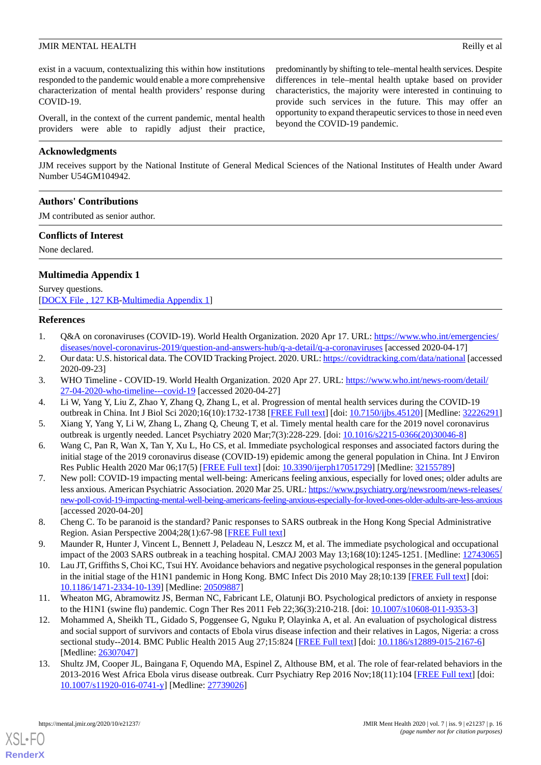exist in a vacuum, contextualizing this within how institutions responded to the pandemic would enable a more comprehensive characterization of mental health providers' response during COVID-19.

Overall, in the context of the current pandemic, mental health providers were able to rapidly adjust their practice,

# **Acknowledgments**

JJM receives support by the National Institute of General Medical Sciences of the National Institutes of Health under Award Number U54GM104942.

# **Authors' Contributions**

JM contributed as senior author.

### **Conflicts of Interest**

<span id="page-15-13"></span>None declared.

# **Multimedia Appendix 1**

<span id="page-15-0"></span>Survey questions. [[DOCX File , 127 KB-Multimedia Appendix 1\]](https://jmir.org/api/download?alt_name=mental_v7i9e21237_app1.docx&filename=3ba68460c0f9ad1da9e0a92818769d5e.docx)

### <span id="page-15-1"></span>**References**

- <span id="page-15-2"></span>1. Q&A on coronaviruses (COVID-19). World Health Organization. 2020 Apr 17. URL: [https://www.who.int/emergencies/](https://www.who.int/emergencies/diseases/novel-coronavirus-2019/question-and-answers-hub/q-a-detail/q-a-coronaviruses) [diseases/novel-coronavirus-2019/question-and-answers-hub/q-a-detail/q-a-coronaviruses](https://www.who.int/emergencies/diseases/novel-coronavirus-2019/question-and-answers-hub/q-a-detail/q-a-coronaviruses) [accessed 2020-04-17]
- <span id="page-15-3"></span>2. Our data: U.S. historical data. The COVID Tracking Project. 2020. URL:<https://covidtracking.com/data/national> [accessed 2020-09-23]
- <span id="page-15-4"></span>3. WHO Timeline - COVID-19. World Health Organization. 2020 Apr 27. URL: [https://www.who.int/news-room/detail/](https://www.who.int/news-room/detail/27-04-2020-who-timeline---covid-19) [27-04-2020-who-timeline---covid-19](https://www.who.int/news-room/detail/27-04-2020-who-timeline---covid-19) [accessed 2020-04-27]
- <span id="page-15-5"></span>4. Li W, Yang Y, Liu Z, Zhao Y, Zhang Q, Zhang L, et al. Progression of mental health services during the COVID-19 outbreak in China. Int J Biol Sci 2020;16(10):1732-1738 [[FREE Full text](http://www.ijbs.com/v16p1732.htm)] [doi: [10.7150/ijbs.45120](http://dx.doi.org/10.7150/ijbs.45120)] [Medline: [32226291](http://www.ncbi.nlm.nih.gov/entrez/query.fcgi?cmd=Retrieve&db=PubMed&list_uids=32226291&dopt=Abstract)]
- <span id="page-15-6"></span>5. Xiang Y, Yang Y, Li W, Zhang L, Zhang Q, Cheung T, et al. Timely mental health care for the 2019 novel coronavirus outbreak is urgently needed. Lancet Psychiatry 2020 Mar;7(3):228-229. [doi: [10.1016/s2215-0366\(20\)30046-8](http://dx.doi.org/10.1016/s2215-0366(20)30046-8)]
- 6. Wang C, Pan R, Wan X, Tan Y, Xu L, Ho CS, et al. Immediate psychological responses and associated factors during the initial stage of the 2019 coronavirus disease (COVID-19) epidemic among the general population in China. Int J Environ Res Public Health 2020 Mar 06;17(5) [\[FREE Full text\]](https://www.mdpi.com/resolver?pii=ijerph17051729) [doi: [10.3390/ijerph17051729](http://dx.doi.org/10.3390/ijerph17051729)] [Medline: [32155789](http://www.ncbi.nlm.nih.gov/entrez/query.fcgi?cmd=Retrieve&db=PubMed&list_uids=32155789&dopt=Abstract)]
- <span id="page-15-8"></span><span id="page-15-7"></span>7. New poll: COVID-19 impacting mental well-being: Americans feeling anxious, especially for loved ones; older adults are less anxious. American Psychiatric Association. 2020 Mar 25. URL: [https://www.psychiatry.org/newsroom/news-releases/](https://www.psychiatry.org/newsroom/news-releases/new-poll-covid-19-impacting-mental-well-being-americans-feeling-anxious-especially-for-loved-ones-older-adults-are-less-anxious) [new-poll-covid-19-impacting-mental-well-being-americans-feeling-anxious-especially-for-loved-ones-older-adults-are-less-anxious](https://www.psychiatry.org/newsroom/news-releases/new-poll-covid-19-impacting-mental-well-being-americans-feeling-anxious-especially-for-loved-ones-older-adults-are-less-anxious) [accessed 2020-04-20]
- <span id="page-15-9"></span>8. Cheng C. To be paranoid is the standard? Panic responses to SARS outbreak in the Hong Kong Special Administrative Region. Asian Perspective 2004;28(1):67-98 [[FREE Full text](https://www.jstor.org/stable/42704444)]
- <span id="page-15-10"></span>9. Maunder R, Hunter J, Vincent L, Bennett J, Peladeau N, Leszcz M, et al. The immediate psychological and occupational impact of the 2003 SARS outbreak in a teaching hospital. CMAJ 2003 May 13;168(10):1245-1251. [Medline: [12743065](http://www.ncbi.nlm.nih.gov/entrez/query.fcgi?cmd=Retrieve&db=PubMed&list_uids=12743065&dopt=Abstract)]
- <span id="page-15-11"></span>10. Lau JT, Griffiths S, Choi KC, Tsui HY. Avoidance behaviors and negative psychological responses in the general population in the initial stage of the H1N1 pandemic in Hong Kong. BMC Infect Dis 2010 May 28;10:139 [[FREE Full text](https://bmcinfectdis.biomedcentral.com/articles/10.1186/1471-2334-10-139)] [doi: [10.1186/1471-2334-10-139\]](http://dx.doi.org/10.1186/1471-2334-10-139) [Medline: [20509887\]](http://www.ncbi.nlm.nih.gov/entrez/query.fcgi?cmd=Retrieve&db=PubMed&list_uids=20509887&dopt=Abstract)
- <span id="page-15-12"></span>11. Wheaton MG, Abramowitz JS, Berman NC, Fabricant LE, Olatunji BO. Psychological predictors of anxiety in response to the H1N1 (swine flu) pandemic. Cogn Ther Res 2011 Feb 22;36(3):210-218. [doi: [10.1007/s10608-011-9353-3\]](http://dx.doi.org/10.1007/s10608-011-9353-3)
- 12. Mohammed A, Sheikh TL, Gidado S, Poggensee G, Nguku P, Olayinka A, et al. An evaluation of psychological distress and social support of survivors and contacts of Ebola virus disease infection and their relatives in Lagos, Nigeria: a cross sectional study--2014. BMC Public Health 2015 Aug 27;15:824 [\[FREE Full text\]](https://bmcpublichealth.biomedcentral.com/articles/10.1186/s12889-015-2167-6) [doi: [10.1186/s12889-015-2167-6](http://dx.doi.org/10.1186/s12889-015-2167-6)] [Medline: [26307047](http://www.ncbi.nlm.nih.gov/entrez/query.fcgi?cmd=Retrieve&db=PubMed&list_uids=26307047&dopt=Abstract)]
- 13. Shultz JM, Cooper JL, Baingana F, Oquendo MA, Espinel Z, Althouse BM, et al. The role of fear-related behaviors in the 2013-2016 West Africa Ebola virus disease outbreak. Curr Psychiatry Rep 2016 Nov;18(11):104 [\[FREE Full text\]](http://europepmc.org/abstract/MED/27739026) [doi: [10.1007/s11920-016-0741-y\]](http://dx.doi.org/10.1007/s11920-016-0741-y) [Medline: [27739026](http://www.ncbi.nlm.nih.gov/entrez/query.fcgi?cmd=Retrieve&db=PubMed&list_uids=27739026&dopt=Abstract)]

[XSL](http://www.w3.org/Style/XSL)•FO **[RenderX](http://www.renderx.com/)**

predominantly by shifting to tele–mental health services. Despite differences in tele–mental health uptake based on provider characteristics, the majority were interested in continuing to provide such services in the future. This may offer an opportunity to expand therapeutic services to those in need even beyond the COVID-19 pandemic.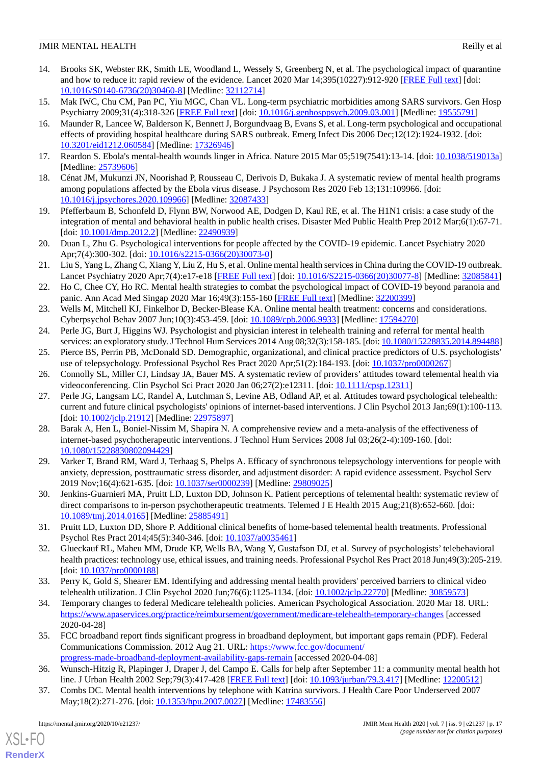- <span id="page-16-0"></span>14. Brooks SK, Webster RK, Smith LE, Woodland L, Wessely S, Greenberg N, et al. The psychological impact of quarantine and how to reduce it: rapid review of the evidence. Lancet 2020 Mar 14;395(10227):912-920 [\[FREE Full text](http://europepmc.org/abstract/MED/32112714)] [doi: [10.1016/S0140-6736\(20\)30460-8\]](http://dx.doi.org/10.1016/S0140-6736(20)30460-8) [Medline: [32112714](http://www.ncbi.nlm.nih.gov/entrez/query.fcgi?cmd=Retrieve&db=PubMed&list_uids=32112714&dopt=Abstract)]
- <span id="page-16-22"></span><span id="page-16-1"></span>15. Mak IWC, Chu CM, Pan PC, Yiu MGC, Chan VL. Long-term psychiatric morbidities among SARS survivors. Gen Hosp Psychiatry 2009;31(4):318-326 [[FREE Full text](http://europepmc.org/abstract/MED/19555791)] [doi: [10.1016/j.genhosppsych.2009.03.001\]](http://dx.doi.org/10.1016/j.genhosppsych.2009.03.001) [Medline: [19555791\]](http://www.ncbi.nlm.nih.gov/entrez/query.fcgi?cmd=Retrieve&db=PubMed&list_uids=19555791&dopt=Abstract)
- 16. Maunder R, Lancee W, Balderson K, Bennett J, Borgundvaag B, Evans S, et al. Long-term psychological and occupational effects of providing hospital healthcare during SARS outbreak. Emerg Infect Dis 2006 Dec;12(12):1924-1932. [doi: [10.3201/eid1212.060584](http://dx.doi.org/10.3201/eid1212.060584)] [Medline: [17326946](http://www.ncbi.nlm.nih.gov/entrez/query.fcgi?cmd=Retrieve&db=PubMed&list_uids=17326946&dopt=Abstract)]
- <span id="page-16-3"></span><span id="page-16-2"></span>17. Reardon S. Ebola's mental-health wounds linger in Africa. Nature 2015 Mar 05;519(7541):13-14. [doi: [10.1038/519013a](http://dx.doi.org/10.1038/519013a)] [Medline: [25739606](http://www.ncbi.nlm.nih.gov/entrez/query.fcgi?cmd=Retrieve&db=PubMed&list_uids=25739606&dopt=Abstract)]
- <span id="page-16-4"></span>18. Cénat JM, Mukunzi JN, Noorishad P, Rousseau C, Derivois D, Bukaka J. A systematic review of mental health programs among populations affected by the Ebola virus disease. J Psychosom Res 2020 Feb 13;131:109966. [doi: [10.1016/j.jpsychores.2020.109966\]](http://dx.doi.org/10.1016/j.jpsychores.2020.109966) [Medline: [32087433\]](http://www.ncbi.nlm.nih.gov/entrez/query.fcgi?cmd=Retrieve&db=PubMed&list_uids=32087433&dopt=Abstract)
- <span id="page-16-5"></span>19. Pfefferbaum B, Schonfeld D, Flynn BW, Norwood AE, Dodgen D, Kaul RE, et al. The H1N1 crisis: a case study of the integration of mental and behavioral health in public health crises. Disaster Med Public Health Prep 2012 Mar;6(1):67-71. [doi: [10.1001/dmp.2012.2\]](http://dx.doi.org/10.1001/dmp.2012.2) [Medline: [22490939\]](http://www.ncbi.nlm.nih.gov/entrez/query.fcgi?cmd=Retrieve&db=PubMed&list_uids=22490939&dopt=Abstract)
- 20. Duan L, Zhu G. Psychological interventions for people affected by the COVID-19 epidemic. Lancet Psychiatry 2020 Apr;7(4):300-302. [doi: [10.1016/s2215-0366\(20\)30073-0](http://dx.doi.org/10.1016/s2215-0366(20)30073-0)]
- <span id="page-16-6"></span>21. Liu S, Yang L, Zhang C, Xiang Y, Liu Z, Hu S, et al. Online mental health services in China during the COVID-19 outbreak. Lancet Psychiatry 2020 Apr;7(4):e17-e18 [\[FREE Full text\]](http://europepmc.org/abstract/MED/32085841) [doi: [10.1016/S2215-0366\(20\)30077-8](http://dx.doi.org/10.1016/S2215-0366(20)30077-8)] [Medline: [32085841\]](http://www.ncbi.nlm.nih.gov/entrez/query.fcgi?cmd=Retrieve&db=PubMed&list_uids=32085841&dopt=Abstract)
- <span id="page-16-7"></span>22. Ho C, Chee CY, Ho RC. Mental health strategies to combat the psychological impact of COVID-19 beyond paranoia and panic. Ann Acad Med Singap 2020 Mar 16;49(3):155-160 [[FREE Full text](http://www.annals.edu.sg/pdf/49VolNo3Mar2020/V49N3p155.pdf)] [Medline: [32200399\]](http://www.ncbi.nlm.nih.gov/entrez/query.fcgi?cmd=Retrieve&db=PubMed&list_uids=32200399&dopt=Abstract)
- <span id="page-16-9"></span><span id="page-16-8"></span>23. Wells M, Mitchell KJ, Finkelhor D, Becker-Blease KA. Online mental health treatment: concerns and considerations. Cyberpsychol Behav 2007 Jun;10(3):453-459. [doi: [10.1089/cpb.2006.9933](http://dx.doi.org/10.1089/cpb.2006.9933)] [Medline: [17594270\]](http://www.ncbi.nlm.nih.gov/entrez/query.fcgi?cmd=Retrieve&db=PubMed&list_uids=17594270&dopt=Abstract)
- <span id="page-16-10"></span>24. Perle JG, Burt J, Higgins WJ. Psychologist and physician interest in telehealth training and referral for mental health services: an exploratory study. J Technol Hum Services 2014 Aug 08;32(3):158-185. [doi: [10.1080/15228835.2014.894488\]](http://dx.doi.org/10.1080/15228835.2014.894488)
- <span id="page-16-11"></span>25. Pierce BS, Perrin PB, McDonald SD. Demographic, organizational, and clinical practice predictors of U.S. psychologists' use of telepsychology. Professional Psychol Res Pract 2020 Apr;51(2):184-193. [doi: [10.1037/pro0000267](http://dx.doi.org/10.1037/pro0000267)]
- 26. Connolly SL, Miller CJ, Lindsay JA, Bauer MS. A systematic review of providers' attitudes toward telemental health via videoconferencing. Clin Psychol Sci Pract 2020 Jan 06;27(2):e12311. [doi: [10.1111/cpsp.12311\]](http://dx.doi.org/10.1111/cpsp.12311)
- <span id="page-16-12"></span>27. Perle JG, Langsam LC, Randel A, Lutchman S, Levine AB, Odland AP, et al. Attitudes toward psychological telehealth: current and future clinical psychologists' opinions of internet-based interventions. J Clin Psychol 2013 Jan;69(1):100-113. [doi: [10.1002/jclp.21912\]](http://dx.doi.org/10.1002/jclp.21912) [Medline: [22975897\]](http://www.ncbi.nlm.nih.gov/entrez/query.fcgi?cmd=Retrieve&db=PubMed&list_uids=22975897&dopt=Abstract)
- <span id="page-16-14"></span><span id="page-16-13"></span>28. Barak A, Hen L, Boniel-Nissim M, Shapira N. A comprehensive review and a meta-analysis of the effectiveness of internet-based psychotherapeutic interventions. J Technol Hum Services 2008 Jul 03;26(2-4):109-160. [doi: [10.1080/15228830802094429\]](http://dx.doi.org/10.1080/15228830802094429)
- <span id="page-16-15"></span>29. Varker T, Brand RM, Ward J, Terhaag S, Phelps A. Efficacy of synchronous telepsychology interventions for people with anxiety, depression, posttraumatic stress disorder, and adjustment disorder: A rapid evidence assessment. Psychol Serv 2019 Nov;16(4):621-635. [doi: [10.1037/ser0000239\]](http://dx.doi.org/10.1037/ser0000239) [Medline: [29809025\]](http://www.ncbi.nlm.nih.gov/entrez/query.fcgi?cmd=Retrieve&db=PubMed&list_uids=29809025&dopt=Abstract)
- <span id="page-16-16"></span>30. Jenkins-Guarnieri MA, Pruitt LD, Luxton DD, Johnson K. Patient perceptions of telemental health: systematic review of direct comparisons to in-person psychotherapeutic treatments. Telemed J E Health 2015 Aug;21(8):652-660. [doi: [10.1089/tmj.2014.0165](http://dx.doi.org/10.1089/tmj.2014.0165)] [Medline: [25885491\]](http://www.ncbi.nlm.nih.gov/entrez/query.fcgi?cmd=Retrieve&db=PubMed&list_uids=25885491&dopt=Abstract)
- <span id="page-16-17"></span>31. Pruitt LD, Luxton DD, Shore P. Additional clinical benefits of home-based telemental health treatments. Professional Psychol Res Pract 2014;45(5):340-346. [doi: [10.1037/a0035461\]](http://dx.doi.org/10.1037/a0035461)
- <span id="page-16-18"></span>32. Glueckauf RL, Maheu MM, Drude KP, Wells BA, Wang Y, Gustafson DJ, et al. Survey of psychologists' telebehavioral health practices: technology use, ethical issues, and training needs. Professional Psychol Res Pract 2018 Jun;49(3):205-219. [doi: [10.1037/pro0000188\]](http://dx.doi.org/10.1037/pro0000188)
- <span id="page-16-19"></span>33. Perry K, Gold S, Shearer EM. Identifying and addressing mental health providers' perceived barriers to clinical video telehealth utilization. J Clin Psychol 2020 Jun;76(6):1125-1134. [doi: [10.1002/jclp.22770\]](http://dx.doi.org/10.1002/jclp.22770) [Medline: [30859573\]](http://www.ncbi.nlm.nih.gov/entrez/query.fcgi?cmd=Retrieve&db=PubMed&list_uids=30859573&dopt=Abstract)
- <span id="page-16-20"></span>34. Temporary changes to federal Medicare telehealth policies. American Psychological Association. 2020 Mar 18. URL: <https://www.apaservices.org/practice/reimbursement/government/medicare-telehealth-temporary-changes> [accessed 2020-04-28]
- <span id="page-16-21"></span>35. FCC broadband report finds significant progress in broadband deployment, but important gaps remain (PDF). Federal Communications Commission. 2012 Aug 21. URL: [https://www.fcc.gov/document/](https://www.fcc.gov/document/progress-made-broadband-deployment-availability-gaps-remain) [progress-made-broadband-deployment-availability-gaps-remain](https://www.fcc.gov/document/progress-made-broadband-deployment-availability-gaps-remain) [accessed 2020-04-08]
- 36. Wunsch-Hitzig R, Plapinger J, Draper J, del Campo E. Calls for help after September 11: a community mental health hot line. J Urban Health 2002 Sep;79(3):417-428 [\[FREE Full text\]](http://europepmc.org/abstract/MED/12200512) [doi: [10.1093/jurban/79.3.417\]](http://dx.doi.org/10.1093/jurban/79.3.417) [Medline: [12200512\]](http://www.ncbi.nlm.nih.gov/entrez/query.fcgi?cmd=Retrieve&db=PubMed&list_uids=12200512&dopt=Abstract)
- 37. Combs DC. Mental health interventions by telephone with Katrina survivors. J Health Care Poor Underserved 2007 May;18(2):271-276. [doi: [10.1353/hpu.2007.0027](http://dx.doi.org/10.1353/hpu.2007.0027)] [Medline: [17483556\]](http://www.ncbi.nlm.nih.gov/entrez/query.fcgi?cmd=Retrieve&db=PubMed&list_uids=17483556&dopt=Abstract)

[XSL](http://www.w3.org/Style/XSL)•FO **[RenderX](http://www.renderx.com/)**